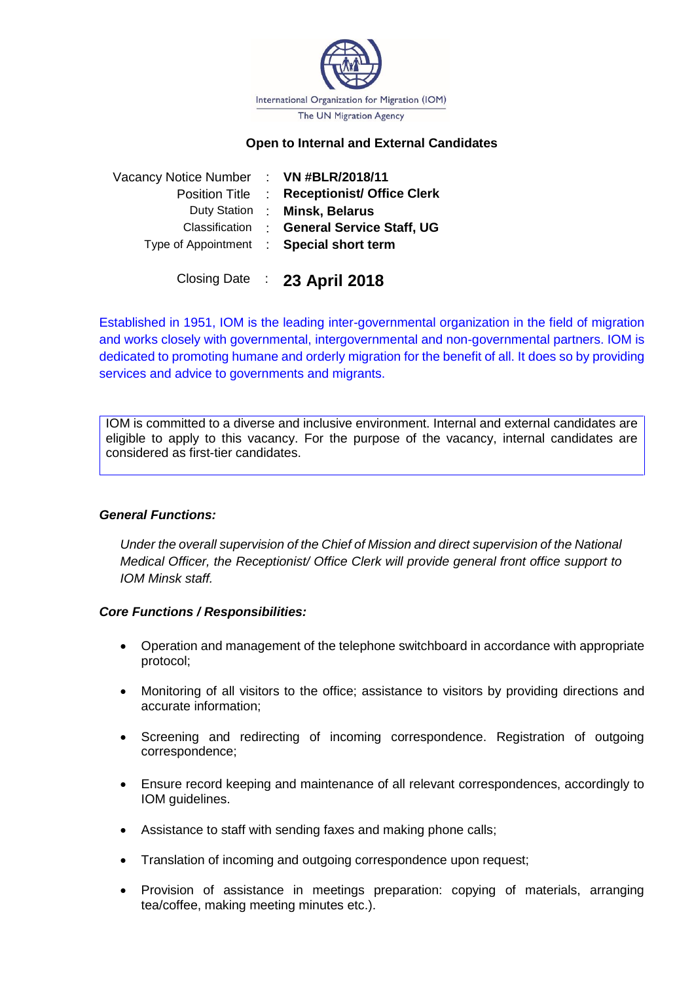

### **Open to Internal and External Candidates**

| Vacancy Notice Number : VN #BLR/2018/11 |                                             |
|-----------------------------------------|---------------------------------------------|
|                                         | Position Title : Receptionist/ Office Clerk |
|                                         | Duty Station : Minsk, Belarus               |
| Classification                          | : General Service Staff, UG                 |
|                                         | Type of Appointment : Special short term    |
|                                         |                                             |

Closing Date : **23 April 2018**

Established in 1951, IOM is the leading inter-governmental organization in the field of migration and works closely with governmental, intergovernmental and non-governmental partners. IOM is dedicated to promoting humane and orderly migration for the benefit of all. It does so by providing services and advice to governments and migrants.

IOM is committed to a diverse and inclusive environment. Internal and external candidates are eligible to apply to this vacancy. For the purpose of the vacancy, internal candidates are considered as first-tier candidates.

### *General Functions:*

*Under the overall supervision of the Chief of Mission and direct supervision of the National Medical Officer, the Receptionist/ Office Clerk will provide general front office support to IOM Minsk staff.* 

### *Core Functions / Responsibilities:*

- Operation and management of the telephone switchboard in accordance with appropriate protocol;
- Monitoring of all visitors to the office; assistance to visitors by providing directions and accurate information;
- Screening and redirecting of incoming correspondence. Registration of outgoing correspondence;
- Ensure record keeping and maintenance of all relevant correspondences, accordingly to IOM guidelines.
- Assistance to staff with sending faxes and making phone calls;
- Translation of incoming and outgoing correspondence upon request;
- Provision of assistance in meetings preparation: copying of materials, arranging tea/coffee, making meeting minutes etc.).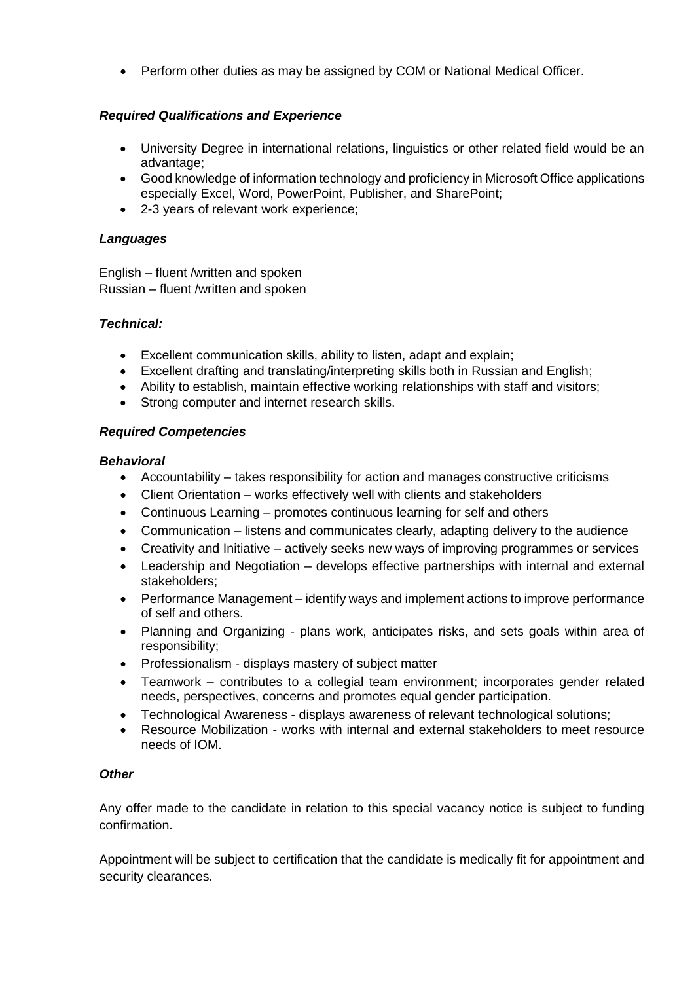Perform other duties as may be assigned by COM or National Medical Officer.

# *Required Qualifications and Experience*

- University Degree in international relations, linguistics or other related field would be an advantage;
- Good knowledge of information technology and proficiency in Microsoft Office applications especially Excel, Word, PowerPoint, Publisher, and SharePoint;
- 2-3 years of relevant work experience;

## *Languages*

English – fluent /written and spoken Russian – fluent /written and spoken

### *Technical:*

- Excellent communication skills, ability to listen, adapt and explain;
- Excellent drafting and translating/interpreting skills both in Russian and English;
- Ability to establish, maintain effective working relationships with staff and visitors;
- Strong computer and internet research skills.

### *Required Competencies*

### *Behavioral*

- Accountability takes responsibility for action and manages constructive criticisms
- Client Orientation works effectively well with clients and stakeholders
- Continuous Learning promotes continuous learning for self and others
- Communication listens and communicates clearly, adapting delivery to the audience
- Creativity and Initiative actively seeks new ways of improving programmes or services
- Leadership and Negotiation develops effective partnerships with internal and external stakeholders;
- Performance Management identify ways and implement actions to improve performance of self and others.
- Planning and Organizing plans work, anticipates risks, and sets goals within area of responsibility;
- Professionalism displays mastery of subject matter
- Teamwork contributes to a collegial team environment; incorporates gender related needs, perspectives, concerns and promotes equal gender participation.
- Technological Awareness displays awareness of relevant technological solutions;
- Resource Mobilization works with internal and external stakeholders to meet resource needs of IOM.

### *Other*

Any offer made to the candidate in relation to this special vacancy notice is subject to funding confirmation.

Appointment will be subject to certification that the candidate is medically fit for appointment and security clearances.